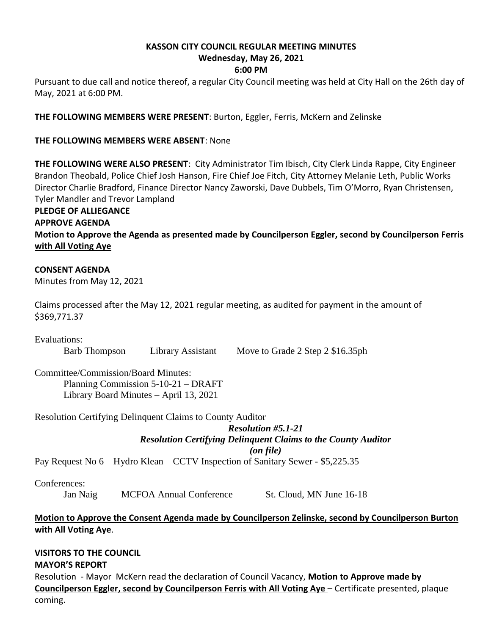# **KASSON CITY COUNCIL REGULAR MEETING MINUTES**

# **Wednesday, May 26, 2021**

# **6:00 PM**

Pursuant to due call and notice thereof, a regular City Council meeting was held at City Hall on the 26th day of May, 2021 at 6:00 PM.

**THE FOLLOWING MEMBERS WERE PRESENT**: Burton, Eggler, Ferris, McKern and Zelinske

#### **THE FOLLOWING MEMBERS WERE ABSENT**: None

**THE FOLLOWING WERE ALSO PRESENT**: City Administrator Tim Ibisch, City Clerk Linda Rappe, City Engineer Brandon Theobald, Police Chief Josh Hanson, Fire Chief Joe Fitch, City Attorney Melanie Leth, Public Works Director Charlie Bradford, Finance Director Nancy Zaworski, Dave Dubbels, Tim O'Morro, Ryan Christensen, Tyler Mandler and Trevor Lampland

#### **PLEDGE OF ALLIEGANCE APPROVE AGENDA Motion to Approve the Agenda as presented made by Councilperson Eggler, second by Councilperson Ferris with All Voting Aye**

#### **CONSENT AGENDA**

Minutes from May 12, 2021

Claims processed after the May 12, 2021 regular meeting, as audited for payment in the amount of \$369,771.37

Evaluations:

Barb Thompson Library Assistant Move to Grade 2 Step 2 \$16.35ph

Committee/Commission/Board Minutes: Planning Commission 5-10-21 – DRAFT Library Board Minutes – April 13, 2021

Resolution Certifying Delinquent Claims to County Auditor

*Resolution #5.1-21 Resolution Certifying Delinquent Claims to the County Auditor (on file)*

Pay Request No 6 – Hydro Klean – CCTV Inspection of Sanitary Sewer - \$5,225.35

Conferences:

Jan Naig MCFOA Annual Conference St. Cloud, MN June 16-18

### **Motion to Approve the Consent Agenda made by Councilperson Zelinske, second by Councilperson Burton with All Voting Aye**.

#### **VISITORS TO THE COUNCIL MAYOR'S REPORT**

Resolution - Mayor McKern read the declaration of Council Vacancy, **Motion to Approve made by Councilperson Eggler, second by Councilperson Ferris with All Voting Aye** – Certificate presented, plaque coming.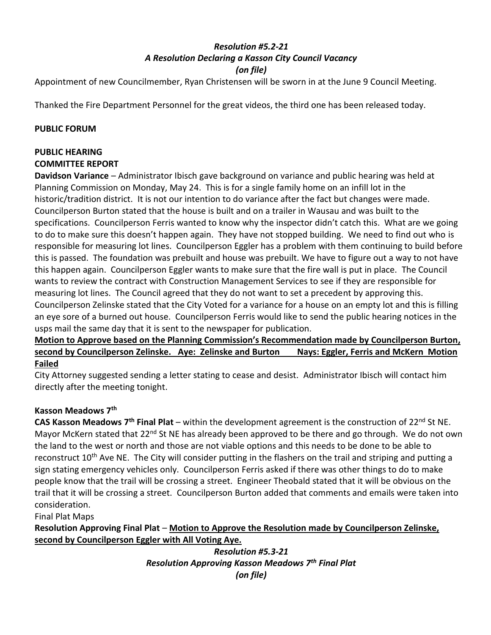### *Resolution #5.2-21 A Resolution Declaring a Kasson City Council Vacancy (on file)*

Appointment of new Councilmember, Ryan Christensen will be sworn in at the June 9 Council Meeting.

Thanked the Fire Department Personnel for the great videos, the third one has been released today.

#### **PUBLIC FORUM**

#### **PUBLIC HEARING**

#### **COMMITTEE REPORT**

**Davidson Variance** – Administrator Ibisch gave background on variance and public hearing was held at Planning Commission on Monday, May 24. This is for a single family home on an infill lot in the historic/tradition district. It is not our intention to do variance after the fact but changes were made. Councilperson Burton stated that the house is built and on a trailer in Wausau and was built to the specifications. Councilperson Ferris wanted to know why the inspector didn't catch this. What are we going to do to make sure this doesn't happen again. They have not stopped building. We need to find out who is responsible for measuring lot lines. Councilperson Eggler has a problem with them continuing to build before this is passed. The foundation was prebuilt and house was prebuilt. We have to figure out a way to not have this happen again. Councilperson Eggler wants to make sure that the fire wall is put in place. The Council wants to review the contract with Construction Management Services to see if they are responsible for measuring lot lines. The Council agreed that they do not want to set a precedent by approving this. Councilperson Zelinske stated that the City Voted for a variance for a house on an empty lot and this is filling an eye sore of a burned out house. Councilperson Ferris would like to send the public hearing notices in the usps mail the same day that it is sent to the newspaper for publication.

#### **Motion to Approve based on the Planning Commission's Recommendation made by Councilperson Burton, second by Councilperson Zelinske. Aye: Zelinske and Burton Nays: Eggler, Ferris and McKern Motion Failed**

City Attorney suggested sending a letter stating to cease and desist. Administrator Ibisch will contact him directly after the meeting tonight.

### **Kasson Meadows 7th**

**CAS Kasson Meadows 7th Final Plat** – within the development agreement is the construction of 22nd St NE. Mayor McKern stated that 22<sup>nd</sup> St NE has already been approved to be there and go through. We do not own the land to the west or north and those are not viable options and this needs to be done to be able to reconstruct 10<sup>th</sup> Ave NE. The City will consider putting in the flashers on the trail and striping and putting a sign stating emergency vehicles only. Councilperson Ferris asked if there was other things to do to make people know that the trail will be crossing a street. Engineer Theobald stated that it will be obvious on the trail that it will be crossing a street. Councilperson Burton added that comments and emails were taken into consideration.

Final Plat Maps

**Resolution Approving Final Plat** – **Motion to Approve the Resolution made by Councilperson Zelinske, second by Councilperson Eggler with All Voting Aye.**

> *Resolution #5.3-21 Resolution Approving Kasson Meadows 7th Final Plat (on file)*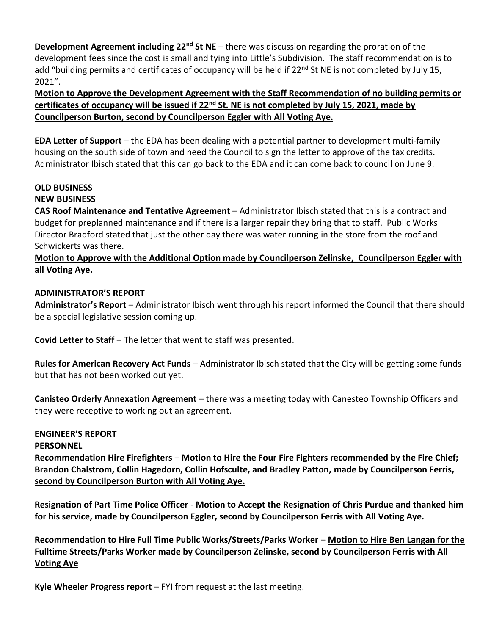**Development Agreement including 22nd St NE** – there was discussion regarding the proration of the development fees since the cost is small and tying into Little's Subdivision. The staff recommendation is to add "building permits and certificates of occupancy will be held if 22<sup>nd</sup> St NE is not completed by July 15, 2021".

**Motion to Approve the Development Agreement with the Staff Recommendation of no building permits or certificates of occupancy will be issued if 22nd St. NE is not completed by July 15, 2021, made by Councilperson Burton, second by Councilperson Eggler with All Voting Aye.**

**EDA Letter of Support** – the EDA has been dealing with a potential partner to development multi-family housing on the south side of town and need the Council to sign the letter to approve of the tax credits. Administrator Ibisch stated that this can go back to the EDA and it can come back to council on June 9.

# **OLD BUSINESS**

# **NEW BUSINESS**

**CAS Roof Maintenance and Tentative Agreement** – Administrator Ibisch stated that this is a contract and budget for preplanned maintenance and if there is a larger repair they bring that to staff. Public Works Director Bradford stated that just the other day there was water running in the store from the roof and Schwickerts was there.

# **Motion to Approve with the Additional Option made by Councilperson Zelinske, Councilperson Eggler with all Voting Aye.**

# **ADMINISTRATOR'S REPORT**

**Administrator's Report** – Administrator Ibisch went through his report informed the Council that there should be a special legislative session coming up.

**Covid Letter to Staff** – The letter that went to staff was presented.

**Rules for American Recovery Act Funds** – Administrator Ibisch stated that the City will be getting some funds but that has not been worked out yet.

**Canisteo Orderly Annexation Agreement** – there was a meeting today with Canesteo Township Officers and they were receptive to working out an agreement.

# **ENGINEER'S REPORT**

**PERSONNEL**

**Recommendation Hire Firefighters** – **Motion to Hire the Four Fire Fighters recommended by the Fire Chief; Brandon Chalstrom, Collin Hagedorn, Collin Hofsculte, and Bradley Patton, made by Councilperson Ferris, second by Councilperson Burton with All Voting Aye.**

**Resignation of Part Time Police Officer** - **Motion to Accept the Resignation of Chris Purdue and thanked him for his service, made by Councilperson Eggler, second by Councilperson Ferris with All Voting Aye.**

**Recommendation to Hire Full Time Public Works/Streets/Parks Worker** – **Motion to Hire Ben Langan for the Fulltime Streets/Parks Worker made by Councilperson Zelinske, second by Councilperson Ferris with All Voting Aye**

**Kyle Wheeler Progress report** – FYI from request at the last meeting.